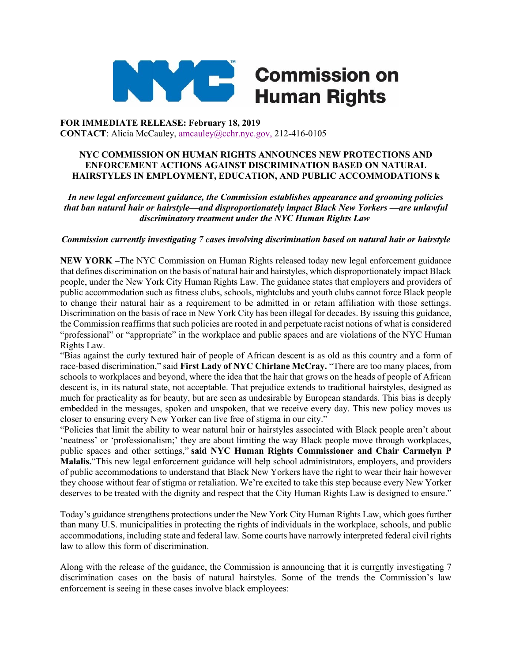

## **Commission on Service Service Service Service Service Service Service Service Service Service Service Service Human Rights**

**FOR IMMEDIATE RELEASE: February 18, 2019 CONTACT**: Alicia McCauley, amcauley@cchr.nyc.gov, 212-416-0105

## **NYC COMMISSION ON HUMAN RIGHTS ANNOUNCES NEW PROTECTIONS AND ENFORCEMENT ACTIONS AGAINST DISCRIMINATION BASED ON NATURAL HAIRSTYLES IN EMPLOYMENT, EDUCATION, AND PUBLIC ACCOMMODATIONS k**

*In new legal enforcement guidance, the Commission establishes appearance and grooming policies that ban natural hair or hairstyle—and disproportionately impact Black New Yorkers —are unlawful discriminatory treatment under the NYC Human Rights Law*

## *Commission currently investigating 7 cases involving discrimination based on natural hair or hairstyle*

**NEW YORK –**The NYC Commission on Human Rights released today new legal enforcement guidance that defines discrimination on the basis of natural hair and hairstyles, which disproportionately impact Black people, under the New York City Human Rights Law. The guidance states that employers and providers of public accommodation such as fitness clubs, schools, nightclubs and youth clubs cannot force Black people to change their natural hair as a requirement to be admitted in or retain affiliation with those settings. Discrimination on the basis of race in New York City has been illegal for decades. By issuing this guidance, the Commission reaffirms that such policies are rooted in and perpetuate racist notions of what is considered "professional" or "appropriate" in the workplace and public spaces and are violations of the NYC Human Rights Law.

"Bias against the curly textured hair of people of African descent is as old as this country and a form of race-based discrimination," said **First Lady of NYC Chirlane McCray.** "There are too many places, from schools to workplaces and beyond, where the idea that the hair that grows on the heads of people of African descent is, in its natural state, not acceptable. That prejudice extends to traditional hairstyles, designed as much for practicality as for beauty, but are seen as undesirable by European standards. This bias is deeply embedded in the messages, spoken and unspoken, that we receive every day. This new policy moves us closer to ensuring every New Yorker can live free of stigma in our city."

"Policies that limit the ability to wear natural hair or hairstyles associated with Black people aren't about 'neatness' or 'professionalism;' they are about limiting the way Black people move through workplaces, public spaces and other settings," **said NYC Human Rights Commissioner and Chair Carmelyn P Malalis.**"This new legal enforcement guidance will help school administrators, employers, and providers of public accommodations to understand that Black New Yorkers have the right to wear their hair however they choose without fear of stigma or retaliation. We're excited to take this step because every New Yorker deserves to be treated with the dignity and respect that the City Human Rights Law is designed to ensure."

Today's guidance strengthens protections under the New York City Human Rights Law, which goes further than many U.S. municipalities in protecting the rights of individuals in the workplace, schools, and public accommodations, including state and federal law. Some courts have narrowly interpreted federal civil rights law to allow this form of discrimination.

Along with the release of the guidance, the Commission is announcing that it is currently investigating 7 discrimination cases on the basis of natural hairstyles. Some of the trends the Commission's law enforcement is seeing in these cases involve black employees: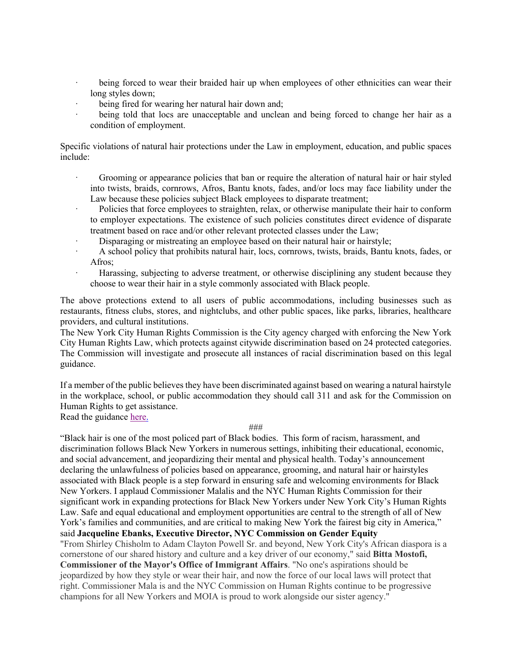- being forced to wear their braided hair up when employees of other ethnicities can wear their long styles down;
- being fired for wearing her natural hair down and;
- being told that locs are unacceptable and unclean and being forced to change her hair as a condition of employment.

Specific violations of natural hair protections under the Law in employment, education, and public spaces include:

- Grooming or appearance policies that ban or require the alteration of natural hair or hair styled into twists, braids, cornrows, Afros, Bantu knots, fades, and/or locs may face liability under the Law because these policies subject Black employees to disparate treatment;
- · Policies that force employees to straighten, relax, or otherwise manipulate their hair to conform to employer expectations. The existence of such policies constitutes direct evidence of disparate treatment based on race and/or other relevant protected classes under the Law;
- Disparaging or mistreating an employee based on their natural hair or hairstyle;
- · A school policy that prohibits natural hair, locs, cornrows, twists, braids, Bantu knots, fades, or Afros;
- · Harassing, subjecting to adverse treatment, or otherwise disciplining any student because they choose to wear their hair in a style commonly associated with Black people.

The above protections extend to all users of public accommodations, including businesses such as restaurants, fitness clubs, stores, and nightclubs, and other public spaces, like parks, libraries, healthcare providers, and cultural institutions.

The New York City Human Rights Commission is the City agency charged with enforcing the New York City Human Rights Law, which protects against citywide discrimination based on 24 protected categories. The Commission will investigate and prosecute all instances of racial discrimination based on this legal guidance.

If a member of the public believes they have been discriminated against based on wearing a natural hairstyle in the workplace, school, or public accommodation they should call 311 and ask for the Commission on Human Rights to get assistance.

Read the guidance here.

###

"Black hair is one of the most policed part of Black bodies. This form of racism, harassment, and discrimination follows Black New Yorkers in numerous settings, inhibiting their educational, economic, and social advancement, and jeopardizing their mental and physical health. Today's announcement declaring the unlawfulness of policies based on appearance, grooming, and natural hair or hairstyles associated with Black people is a step forward in ensuring safe and welcoming environments for Black New Yorkers. I applaud Commissioner Malalis and the NYC Human Rights Commission for their significant work in expanding protections for Black New Yorkers under New York City's Human Rights Law. Safe and equal educational and employment opportunities are central to the strength of all of New York's families and communities, and are critical to making New York the fairest big city in America," said **Jacqueline Ebanks, Executive Director, NYC Commission on Gender Equity** "From Shirley Chisholm to Adam Clayton Powell Sr. and beyond, New York City's African diaspora is a cornerstone of our shared history and culture and a key driver of our economy," said **Bitta Mostofi, Commissioner of the Mayor's Office of Immigrant Affairs**. "No one's aspirations should be jeopardized by how they style or wear their hair, and now the force of our local laws will protect that right. Commissioner Mala is and the NYC Commission on Human Rights continue to be progressive champions for all New Yorkers and MOIA is proud to work alongside our sister agency."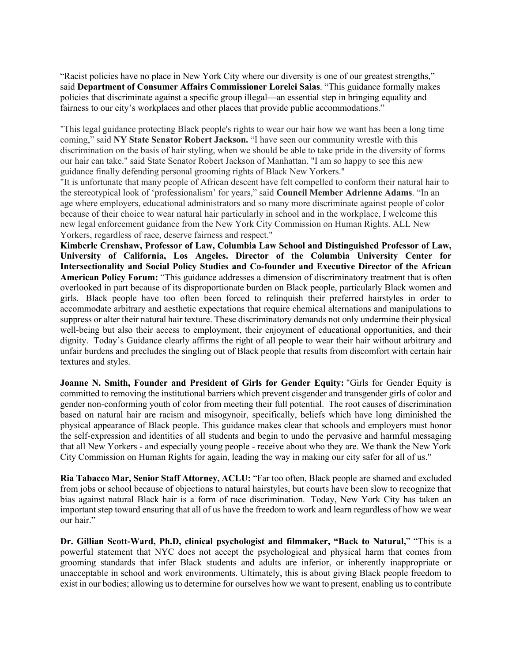"Racist policies have no place in New York City where our diversity is one of our greatest strengths," said **Department of Consumer Affairs Commissioner Lorelei Salas**. "This guidance formally makes policies that discriminate against a specific group illegal—an essential step in bringing equality and fairness to our city's workplaces and other places that provide public accommodations."

"This legal guidance protecting Black people's rights to wear our hair how we want has been a long time coming," said **NY State Senator Robert Jackson.** "I have seen our community wrestle with this discrimination on the basis of hair styling, when we should be able to take pride in the diversity of forms our hair can take." said State Senator Robert Jackson of Manhattan. "I am so happy to see this new guidance finally defending personal grooming rights of Black New Yorkers."

"It is unfortunate that many people of African descent have felt compelled to conform their natural hair to the stereotypical look of 'professionalism' for years," said **Council Member Adrienne Adams**. "In an age where employers, educational administrators and so many more discriminate against people of color because of their choice to wear natural hair particularly in school and in the workplace, I welcome this new legal enforcement guidance from the New York City Commission on Human Rights. ALL New Yorkers, regardless of race, deserve fairness and respect."

**Kimberle Crenshaw, Professor of Law, Columbia Law School and Distinguished Professor of Law, University of California, Los Angeles. Director of the Columbia University Center for Intersectionality and Social Policy Studies and Co-founder and Executive Director of the African American Policy Forum:** "This guidance addresses a dimension of discriminatory treatment that is often overlooked in part because of its disproportionate burden on Black people, particularly Black women and girls. Black people have too often been forced to relinquish their preferred hairstyles in order to accommodate arbitrary and aesthetic expectations that require chemical alternations and manipulations to suppress or alter their natural hair texture. These discriminatory demands not only undermine their physical well-being but also their access to employment, their enjoyment of educational opportunities, and their dignity. Today's Guidance clearly affirms the right of all people to wear their hair without arbitrary and unfair burdens and precludes the singling out of Black people that results from discomfort with certain hair textures and styles.

**Joanne N. Smith, Founder and President of Girls for Gender Equity:** "Girls for Gender Equity is committed to removing the institutional barriers which prevent cisgender and transgender girls of color and gender non-conforming youth of color from meeting their full potential. The root causes of discrimination based on natural hair are racism and misogynoir, specifically, beliefs which have long diminished the physical appearance of Black people. This guidance makes clear that schools and employers must honor the self-expression and identities of all students and begin to undo the pervasive and harmful messaging that all New Yorkers - and especially young people - receive about who they are. We thank the New York City Commission on Human Rights for again, leading the way in making our city safer for all of us."

**Ria Tabacco Mar, Senior Staff Attorney, ACLU:** "Far too often, Black people are shamed and excluded from jobs or school because of objections to natural hairstyles, but courts have been slow to recognize that bias against natural Black hair is a form of race discrimination. Today, New York City has taken an important step toward ensuring that all of us have the freedom to work and learn regardless of how we wear our hair."

**Dr. Gillian Scott-Ward, Ph.D, clinical psychologist and filmmaker, "Back to Natural,**" "This is a powerful statement that NYC does not accept the psychological and physical harm that comes from grooming standards that infer Black students and adults are inferior, or inherently inappropriate or unacceptable in school and work environments. Ultimately, this is about giving Black people freedom to exist in our bodies; allowing us to determine for ourselves how we want to present, enabling us to contribute